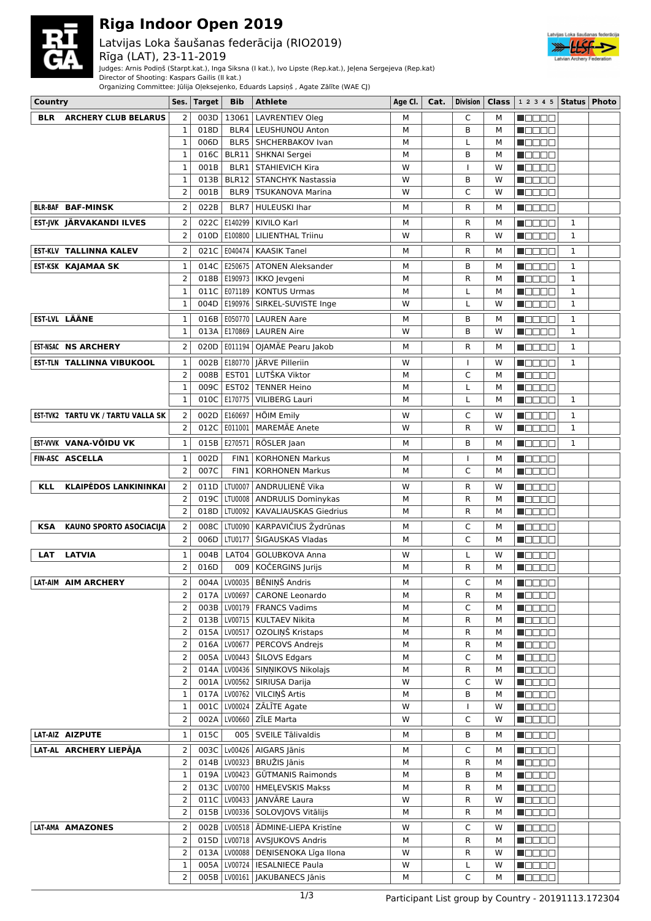

# **Riga Indoor Open 2019**

## Latvijas Loka šaušanas federācija (RIO2019)



Judges: Arnis Podiņš (Starpt.kat.), Inga Siksna (I kat.), Ivo Lipste (Rep.kat.), Jeļena Sergejeva (Rep.kat)

Director of Shooting: Kaspars Gailis (II kat.)





| Country    |                                    | Ses.                | <b>Target</b> | <b>Bib</b>     | <b>Athlete</b>                                                    | Age Cl. | Cat. | Division       |        | Class $ 12345 $ Status   Photo |              |  |
|------------|------------------------------------|---------------------|---------------|----------------|-------------------------------------------------------------------|---------|------|----------------|--------|--------------------------------|--------------|--|
| <b>BLR</b> | <b>ARCHERY CLUB BELARUS</b>        | 2                   | 003D          |                | 13061   LAVRENTIEV Oleg                                           | м       |      | C              | м      | n de e e                       |              |  |
|            |                                    | $\mathbf{1}$        | 018D          |                | BLR4   LEUSHUNOU Anton                                            | M       |      | B              | м      | MOODE                          |              |  |
|            |                                    | 1                   | 006D          |                | BLR5   SHCHERBAKOV Ivan                                           | M       |      | L              | М      | n de Be                        |              |  |
|            |                                    | 1                   | 016C          |                | BLR11   SHKNAI Sergei                                             | M       |      | B              | м      | <b>M</b> OOOO                  |              |  |
|            |                                    | $\mathbf{1}$        | 001B          |                | <b>BLR1   STAHIEVICH Kira</b>                                     | W       |      | I              | W      | Maaaa                          |              |  |
|            |                                    | $\mathbf{1}$        | 013B          |                | BLR12   STANCHYK Nastassia                                        | W       |      | B              | W      | n 880a                         |              |  |
|            |                                    | $\overline{2}$      | 001B          |                | BLR9   TSUKANOVA Marina                                           | W       |      | C              | W      | <b>MODOO</b>                   |              |  |
|            | <b>BLR-BAF BAF-MINSK</b>           | 2                   | 022B          |                | BLR7   HULEUSKI Ihar                                              | м       |      | R              | м      | n do de                        |              |  |
|            | EST-JVK JÄRVAKANDI ILVES           | $\overline{2}$      | 022C          | E140299        | KIVILO Karl                                                       | М       |      | R              | м      | <b>N</b> OOOO                  | 1            |  |
|            |                                    | $\overline{2}$      |               | 010D   E100800 | <b>LILIENTHAL Triinu</b>                                          | W       |      | R              | w      | n oo oo a                      | $\mathbf{1}$ |  |
|            | EST-KLV TALLINNA KALEV             | 2                   | 021C          |                | E040474   KAASIK Tanel                                            | М       |      | R              | М      | n de de                        | $\mathbf{1}$ |  |
|            | EST-KSK KAJAMAA SK                 | $\mathbf{1}$        | 014C          |                | E250675   ATONEN Aleksander                                       | M       |      | B              | м      | N E E E E                      | $\mathbf{1}$ |  |
|            |                                    | $\overline{2}$      |               |                | 018B   E190973   IKKO Jevgeni                                     | M       |      | R              | M      | N E E E E                      | $\mathbf{1}$ |  |
|            |                                    | $\mathbf{1}$        | 011C          |                | E071189   KONTUS Urmas                                            | М       |      | L              | М      | N E E E E                      | $\mathbf{1}$ |  |
|            |                                    | 1                   | 004D          |                | E190976   SIRKEL-SUVISTE Inge                                     | W       |      | L              | W      | N E E E E                      | 1            |  |
|            | EST-LVL LÄÄNE                      | 1                   |               |                | 016B   E050770   LAUREN Aare                                      | м       |      | В              | м      | MA NA NA                       | $\mathbf{1}$ |  |
|            |                                    | $\mathbf{1}$        | 013A          |                | E170869   LAUREN Aire                                             | W       |      | B              | W      | 1   8   8   8   8              | $\mathbf{1}$ |  |
|            |                                    |                     |               |                |                                                                   |         |      |                |        |                                |              |  |
|            | <b>EST-NSAC NS ARCHERY</b>         | 2                   | 020D          |                | E011194   OJAMÄE Pearu Jakob                                      | м       |      | R              | М      | N E E E E                      | $\mathbf{1}$ |  |
|            | <b>EST-TLN TALLINNA VIBUKOOL</b>   | $\mathbf{1}$        | 002B          |                | E180770   JÄRVE Pilleriin                                         | W       |      | $\overline{1}$ | W      | n 8888                         | $\mathbf{1}$ |  |
|            |                                    | 2                   | 008B          |                | EST01 LUTŠKA Viktor                                               | М       |      | C              | М      | n da aa                        |              |  |
|            |                                    | 1                   | 009C          |                | EST02   TENNER Heino                                              | M       |      | L              | М      | 8000 C                         |              |  |
|            |                                    | 1                   | 010C          |                | E170775   VILIBERG Lauri                                          | M       |      | L              | м      | N OO OO                        | $\mathbf{1}$ |  |
|            | EST-TVK2 TARTU VK / TARTU VALLA SK | 2                   | 002D          | E160697        | <b>HÕIM Emily</b>                                                 | W       |      | C              | W      | N O O O O                      | 1            |  |
|            |                                    | 2                   | 012C          | E011001        | <b>MAREMÄE Anete</b>                                              | W       |      | R              | W      | HOOOO                          | $\mathbf{1}$ |  |
|            | EST-VVVK VANA-VÕIDU VK             | $\mathbf{1}$        |               |                | 015B   E270571   RÖSLER Jaan                                      | м       |      | B              | м      | MOOOD                          | $\mathbf{1}$ |  |
|            | FIN-ASC ASCELLA                    | 1                   | 002D          | FIN1           | <b>KORHONEN Markus</b>                                            | М       |      | <b>I</b>       | м      | N DE EO                        |              |  |
|            |                                    | $\overline{2}$      | 007C          | FIN1           | <b>KORHONEN Markus</b>                                            | M       |      | C              | м      | MOO BO                         |              |  |
| <b>KLL</b> | <b>KLAIPĖDOS LANKININKAI</b>       | 2                   | 011D          | LTU0007        | ANDRULIENĖ Vika                                                   | W       |      | R              | W      | N E E E E                      |              |  |
|            |                                    | $\overline{2}$      | 019C          | LTU0008        | <b>ANDRULIS Dominykas</b>                                         | M       |      | R              | М      | n Booo                         |              |  |
|            |                                    | $\overline{2}$      | 018D          | LTU0092        | <b>KAVALIAUSKAS Giedrius</b>                                      | М       |      | R              | м      | N O D O O                      |              |  |
| KSA        | KAUNO SPORTO ASOCIACIJA            | 2                   | 008C          | LTU0090        | KARPAVIČIUS Žydrūnas                                              | M       |      | C              | м      | n 8886                         |              |  |
|            |                                    | 2                   | 006D          | LTU0177        | ŠIGAUSKAS Vladas                                                  | M       |      | C              | М      | N O D O O                      |              |  |
|            |                                    |                     | 004B          |                |                                                                   |         |      |                |        |                                |              |  |
| <b>LAT</b> | <b>LATVIA</b>                      | 1<br>$\overline{2}$ | 016D          | LAT04<br>009   | <b>GOLUBKOVA Anna</b><br>KOČERGINS Jurijs                         | W<br>M  |      | L<br>R         | w<br>м | n da an                        |              |  |
|            |                                    |                     |               |                |                                                                   |         |      |                |        | N O D O O                      |              |  |
|            | LAT-AIM AIM ARCHERY                | 2                   |               |                | 004A   LV00035   BĒNINŠ Andris                                    | М       |      | C              | м      | n a a a a                      |              |  |
|            |                                    | 2                   |               |                | 017A   LV00697   CARONE Leonardo                                  | М       |      | R              | м      | <u>Lisses</u>                  |              |  |
|            |                                    | 2                   |               |                | 003B   LV00179   FRANCS Vadims<br>013B   LV00715   KULTAEV Nikita | М       |      | C              | М      | N BE EE<br>Maaaa               |              |  |
|            |                                    | 2<br>$\overline{2}$ |               |                | 015A   LV00517   OZOLIŅŠ Kristaps                                 | М<br>М  |      | R<br>R         | М<br>М | n do de                        |              |  |
|            |                                    | 2                   |               |                | 016A   LV00677   PERCOVS Andrejs                                  | М       |      | R              | м      | <b>H</b> OOOO                  |              |  |
|            |                                    | 2                   |               |                | 005A   LV00443   ŠILOVS Edgars                                    | М       |      | C              | м      | $\blacksquare$                 |              |  |
|            |                                    | 2                   |               |                | 014A   LV00436   SINNIKOVS Nikolajs                               | M       |      | R              | м      | <b>MODOO</b>                   |              |  |
|            |                                    | 2                   |               |                | 001A   LV00562   SIRIUSA Darija                                   | W       |      | C              | W      | $\blacksquare$                 |              |  |
|            |                                    | $\mathbf{1}$        |               |                | 017A   LV00762   VILCIŅŠ Artis                                    | M       |      | B              | м      | <b>H</b> OOOO                  |              |  |
|            |                                    | 1                   |               |                | 001C   LV00024   ZĀLĪTE Agate                                     | W       |      | I              | W      | <b>MODOO</b>                   |              |  |
|            |                                    | $\overline{2}$      |               |                | 002A   LV00660   ZĪLE Marta                                       | W       |      | $\mathsf{C}$   | W      | <b>Nebec</b>                   |              |  |
|            | LAT-AIZ AIZPUTE                    | 1                   | 015C          |                | 005   SVEILE Tālivaldis                                           | М       |      | B              | М      | $\blacksquare$                 |              |  |
|            | LAT-AL ARCHERY LIEPĀJA             | $\overline{2}$      |               |                | 003C Lv00426 AIGARS Jānis                                         | М       |      | C              | м      | <b>N</b> OOOO                  |              |  |
|            |                                    | 2                   |               |                | 014B   LV00323   BRUŽIS Jānis                                     | М       |      | R              | м      | <b>NODBE</b>                   |              |  |
|            |                                    | 1                   |               |                | 019A   LV00423   GŪTMANIS Raimonds                                | М       |      | В              | М      | M OO OO                        |              |  |
|            |                                    | $\overline{2}$      |               |                | 013C   LV00700   HMEĻEVSKIS Makss                                 | М       |      | R              | м      | N DE BE                        |              |  |
|            |                                    | 2                   |               |                | 011C   LV00433   JANVĀRE Laura                                    | W       |      | R              | W      | <b>M</b> OOOO                  |              |  |
|            |                                    | $\overline{2}$      |               |                | 015B   LV00336   SOLOVJOVS Vitālijs                               | М       |      | R              | м      | N DE SE                        |              |  |
|            | LAT-AMA AMAZONES                   | 2                   |               |                | 002B   LV00518   ADMINE-LIEPA Kristine                            | W       |      | C              | W      | N O O O O                      |              |  |
|            |                                    | 2                   |               |                | 015D   LV00718   AVSJUKOVS Andris                                 | M       |      | R              | м      | N O O O O                      |              |  |
|            |                                    | $\overline{2}$      |               |                | 013A   LV00088   DEŅISENOKA Līga Ilona                            | W       |      | R              | W      | N OO OO                        |              |  |
|            |                                    | $\mathbf{1}$        |               |                | 005A   LV00724   IESALNIECE Paula                                 | W       |      | L              | W      | <b>REDEE</b>                   |              |  |
|            |                                    | 2                   |               |                | 005B   LV00161   JAKUBANECS Jānis                                 | М       |      | C              | м      | $\blacksquare$                 |              |  |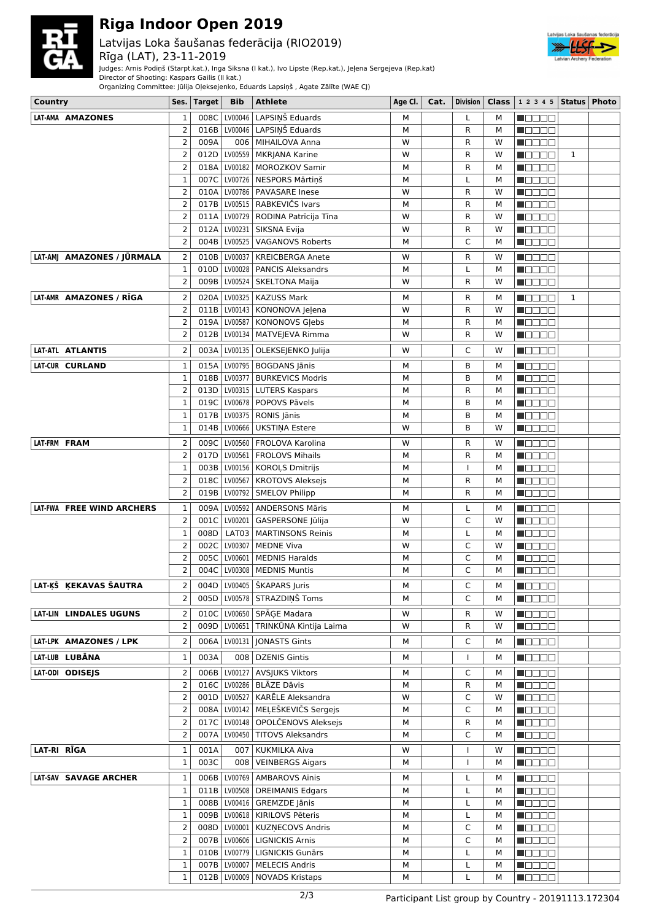

# **Riga Indoor Open 2019**

## Latvijas Loka šaušanas federācija (RIO2019)

#### Rīga (LAT), 23-11-2019

Judges: Arnis Podiņš (Starpt.kat.), Inga Siksna (I kat.), Ivo Lipste (Rep.kat.), Jeļena Sergejeva (Rep.kat) Director of Shooting: Kaspars Gailis (II kat.)

Organizing Committee: Jūlija Oļeksejenko, Eduards Lapsiņš , Agate Zālīte (WAE CJ)



| Country                    | Ses.   Target          | <b>Bib</b>     | <b>Athlete</b>                          | Age Cl. | Cat. | Division       | Class | $ 1\;2\;3\;4\;5$   Status   Photo            |              |  |
|----------------------------|------------------------|----------------|-----------------------------------------|---------|------|----------------|-------|----------------------------------------------|--------------|--|
| LAT-AMA AMAZONES           | 008C<br>1              | LV00046        | LAPSIŅŠ Eduards                         | м       |      | L              | м     | N E E E E                                    |              |  |
|                            | 2<br>016B              |                | LV00046   LAPSIŅŠ Eduards               | м       |      | R              | м     | M OO OO                                      |              |  |
| $\overline{2}$             | 009A                   |                | 006   MIHAILOVA Anna                    | W       |      | R              | W     | <b>N</b> OOOO                                |              |  |
|                            | 2<br>012D              |                | LV00559   MKRJANA Karine                | W       |      | $\mathsf{R}$   | W     | N DE BE                                      | $\mathbf{1}$ |  |
| $\overline{2}$             | 018A                   |                | LV00182   MOROZKOV Samir                | М       |      | R              | М     | ME E E E                                     |              |  |
| $\mathbf 1$                |                        |                | 007C   LV00726   NESPORS Mārtiņš        | м       |      | L              | М     | <b>M</b> ODOO                                |              |  |
| $\overline{2}$             |                        |                | 010A   LV00786   PAVASARE Inese         | W       |      | R              | W     | <b>M</b> OOOO                                |              |  |
| $\overline{2}$             | 017B                   |                | LV00515   RABKEVIČS Ivars               | М       |      | R              | М     | <b>M</b> ODOO                                |              |  |
|                            | 2<br>011A              |                | LV00729   RODINA Patrīcija Tīna         | W       |      | R              | W     | M OO OO                                      |              |  |
|                            | 2<br>012A              |                | LV00231 SIKSNA Evija                    | W       |      | R              | W     | M OO OO                                      |              |  |
|                            | 2<br>004B              | LV00525        | <b>VAGANOVS Roberts</b>                 | М       |      | C              | M     | <b>M</b> OOOO                                |              |  |
| LAT-AMJ AMAZONES / JŪRMALA | $\overline{2}$<br>010B | LV00037        | <b>KREICBERGA Anete</b>                 | W       |      | R              | w     | N BE EE                                      |              |  |
|                            | 1<br>010D              | LV00028        | <b>PANCIS Aleksandrs</b>                | M       |      | L              | M     | <b>MEDEE</b>                                 |              |  |
|                            | 2<br>009B              |                | LV00524   SKELTONA Maija                | W       |      | R              | W     | $\blacksquare$ $\square$ $\square$ $\square$ |              |  |
| LAT-AMR AMAZONES / RĪGA    | $\overline{2}$         |                | 020A   LV00325   KAZUSS Mark            | M       |      | R              | М     | N BEER                                       | $\mathbf{1}$ |  |
| $\overline{2}$             | 011B                   |                | LV00143   KONONOVA Jeļena               | W       |      | $\mathsf{R}$   | W     | MOOOO                                        |              |  |
|                            | 2                      |                | 019A   LV00587   KONONOVS Glebs         | М       |      | $\mathsf{R}$   | М     | Maaaa                                        |              |  |
|                            | 2<br>012B              |                | LV00134   MATVEJEVA Rimma               | W       |      | R              | W     | <b>M</b> OOOO                                |              |  |
| LAT-ATL ATLANTIS           | 2                      |                | 003A   LV00135   OLEKSEJENKO Julija     | W       |      | C              | W     | $\blacksquare$ $\square$ $\square$ $\square$ |              |  |
| LAT-CUR CURLAND            | 1                      |                | 015A   LV00795   BOGDANS Jānis          | М       |      | B              | м     | MO BEL                                       |              |  |
|                            | $\mathbf 1$            |                | 018B   LV00377   BURKEVICS Modris       | м       |      | B              | М     | n e e e e                                    |              |  |
|                            | 2                      |                | 013D   LV00315   LUTERS Kaspars         | М       |      | R              | М     | n da aa                                      |              |  |
|                            | 019C<br>1              |                | LV00678   POPOVS Pāvels                 | м       |      | B              | м     | HOOOO                                        |              |  |
| $\mathbf 1$                | 017B                   |                | LV00375   RONIS Jānis                   | М       |      | B              | м     | ME E E E                                     |              |  |
|                            | 1<br>014B              | LV00666        | UKSTINA Estere                          | W       |      | B              | W     | MOOOO                                        |              |  |
| LAT-FRM FRAM               | 2<br>009C              |                | LV00560   FROLOVA Karolina              | W       |      | R              | W     | M B B B B                                    |              |  |
|                            | 2<br>017D              |                | LV00561   FROLOVS Mihails               | М       |      | R              | м     | n 8888                                       |              |  |
| $\mathbf 1$                | 003B                   |                | LV00156   KOROLS Dmitrijs               | М       |      | I              | M     | n de de                                      |              |  |
| $\overline{2}$             | 018C                   | LV00567        | KROTOVS Aleksejs                        | м       |      | $\mathsf{R}$   | М     | N DE BE                                      |              |  |
|                            | 2<br>019B              | LV00792        | SMELOV Philipp                          | м       |      | R              | М     | <b>N</b> OOOO                                |              |  |
| LAT-FWA FREE WIND ARCHERS  | $\mathbf{1}$           |                | 009A   LV00592   ANDERSONS Māris        | М       |      | L              | м     | M OO OO                                      |              |  |
|                            | $\overline{2}$<br>001C |                | LV00201   GASPERSONE Jūlija             | W       |      | C              | W     | $\blacksquare$                               |              |  |
| $\mathbf 1$                | 008D                   |                | LAT03   MARTINSONS Reinis               | м       |      | L              | М     | <b>M</b> OOOO                                |              |  |
|                            | 2<br>002C              | LV00307        | <b>MEDNE Viva</b>                       | W       |      | C              | W     | <b>M</b> OOOO                                |              |  |
|                            | 2<br>005C              | LV00601        | <b>MEDNIS Haralds</b>                   | M       |      | C              | м     | <b>MODOO</b>                                 |              |  |
|                            | 2                      |                | 004C   LV00308   MEDNIS Muntis          | М       |      | C              | М     | <b>M</b> ODOO                                |              |  |
| LAT-ĶŠ ĶEKAVAS ŠAUTRA      | $\overline{2}$         |                | 004D LV00405   ŠKAPARS Juris            | м       |      | С              | М     | $\blacksquare$                               |              |  |
|                            | 2                      |                | 005D   LV00578   STRAZDIŅŠ Toms         | м       |      | C              | М     | <b>M</b> ODOO                                |              |  |
| LAT-LIN LINDALES UGUNS     | 2                      |                | 010C LV00650 SPĀGE Madara               | W       |      | R              | W     | MODE E                                       |              |  |
|                            | 2                      |                | 009D   LV00651   TRINKŪNA Kintija Laima | W       |      | R              | W     | $\blacksquare$ $\blacksquare$ $\blacksquare$ |              |  |
| LAT-LPK AMAZONES / LPK     | 2                      |                | 006A   LV00131   JONASTS Gints          | м       |      | C              | м     | MODE E                                       |              |  |
| LAT-LUB LUBANA             | 003A<br>1              |                | 008   DZENIS Gintis                     | М       |      | $\overline{1}$ | М     | MOOOO                                        |              |  |
| LAT-ODI ODISEJS            | 2                      |                | 006B LV00127 AVSJUKS Viktors            | м       |      | C              | М     | N BELEK                                      |              |  |
|                            | 2                      |                | 016C   LV00286   BLĀZE Dāvis            | м       |      | R              | м     | n oo oo                                      |              |  |
| $\overline{2}$             |                        |                | 001D   LV00527   KARĒLE Aleksandra      | W       |      | C              | w     | MOOOO                                        |              |  |
| $\overline{2}$             |                        |                | 008A   LV00142   MEĻEŠKEVIČS Sergejs    | м       |      | C              | М     | <b>H</b> OOOO                                |              |  |
|                            | 2<br>017C              |                | LV00148 OPOLČENOVS Aleksejs             | М       |      | R              | М     | $\blacksquare$ $\square$ $\square$ $\square$ |              |  |
|                            | 2<br>007A              |                | LV00450   TITOVS Aleksandrs             | М       |      | C              | М     | MOOOO                                        |              |  |
| LAT-RI RĪGA                | $\mathbf{1}$<br>001A   |                | 007   KUKMILKA Aiva                     | W       |      | I              | W     | N BEEC                                       |              |  |
|                            | 1<br>003C              | 008            | VEINBERGS Aigars                        | М       |      |                | М     | <b>MODOO</b>                                 |              |  |
| LAT-SAV SAVAGE ARCHER      | $\mathbf{1}$           |                | 006B   LV00769   AMBAROVS Ainis         | М       |      | L              | М     | MOOOO                                        |              |  |
|                            | 1                      |                | 011B   LV00508   DREIMANIS Edgars       | М       |      | L              | М     | M OO OO                                      |              |  |
|                            | 1                      |                | 008B   LV00416   GREMZDE Jānis          | м       |      | L              | М     | HOOOO                                        |              |  |
|                            | $\mathbf{1}$           |                | 009B   LV00618   KIRILOVS Pēteris       | М       |      | L              | М     | <b>M</b> ODOO                                |              |  |
|                            | 2                      |                | 008D   LV00001   KUZNECOVS Andris       | М       |      | C              | М     | <b>M</b> ODOO                                |              |  |
|                            | 2                      |                | 007B   LV00606   LIGNICKIS Arnis        | М       |      | C              | М     | M O O O O                                    |              |  |
|                            | 010B<br>1              |                | LV00779   LIGNICKIS Gunārs              | м       |      | L              | М     | M OO OO                                      |              |  |
|                            | 1                      | 007B   LV00007 | <b>MELECIS Andris</b>                   | М       |      | L              | М     | M OO OO                                      |              |  |
|                            | $\mathbf{1}$           |                | 012B   LV00009   NOVADS Kristaps        | М       |      | L              | М     | $\blacksquare$ $\square$ $\square$ $\square$ |              |  |